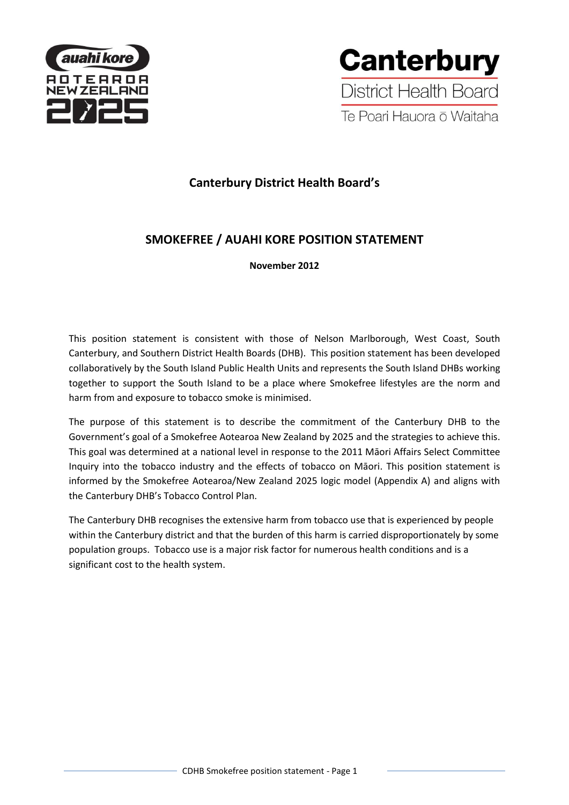



# **Canterbury District Health Board's**

# **SMOKEFREE / AUAHI KORE POSITION STATEMENT**

**November 2012**

This position statement is consistent with those of Nelson Marlborough, West Coast, South Canterbury, and Southern District Health Boards (DHB). This position statement has been developed collaboratively by the South Island Public Health Units and represents the South Island DHBs working together to support the South Island to be a place where Smokefree lifestyles are the norm and harm from and exposure to tobacco smoke is minimised.

The purpose of this statement is to describe the commitment of the Canterbury DHB to the Government's goal of a Smokefree Aotearoa New Zealand by 2025 and the strategies to achieve this. This goal was determined at a national level in response to the 2011 Māori Affairs Select Committee Inquiry into the tobacco industry and the effects of tobacco on Māori. This position statement is informed by the Smokefree Aotearoa/New Zealand 2025 logic model (Appendix A) and aligns with the Canterbury DHB's Tobacco Control Plan.

The Canterbury DHB recognises the extensive harm from tobacco use that is experienced by people within the Canterbury district and that the burden of this harm is carried disproportionately by some population groups. Tobacco use is a major risk factor for numerous health conditions and is a significant cost to the health system.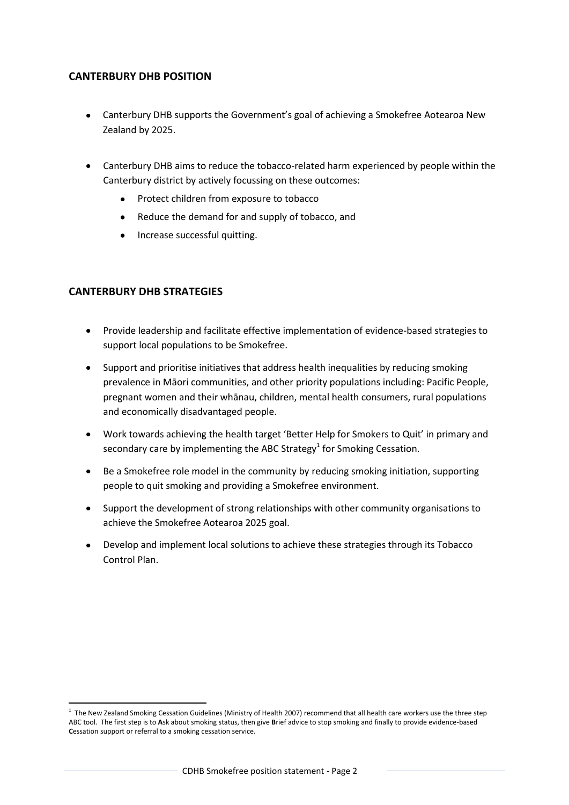# **CANTERBURY DHB POSITION**

- Canterbury DHB supports the Government's goal of achieving a Smokefree Aotearoa New Zealand by 2025.
- Canterbury DHB aims to reduce the tobacco-related harm experienced by people within the Canterbury district by actively focussing on these outcomes:
	- Protect children from exposure to tobacco  $\bullet$
	- Reduce the demand for and supply of tobacco, and
	- Increase successful quitting.

## **CANTERBURY DHB STRATEGIES**

1

- Provide leadership and facilitate effective implementation of evidence-based strategies to  $\bullet$ support local populations to be Smokefree.
- Support and prioritise initiatives that address health inequalities by reducing smoking prevalence in Māori communities, and other priority populations including: Pacific People, pregnant women and their whānau, children, mental health consumers, rural populations and economically disadvantaged people.
- Work towards achieving the health target 'Better Help for Smokers to Quit' in primary and  $\bullet$ secondary care by implementing the ABC Strategy<sup>1</sup> for Smoking Cessation.
- Be a Smokefree role model in the community by reducing smoking initiation, supporting people to quit smoking and providing a Smokefree environment.
- Support the development of strong relationships with other community organisations to achieve the Smokefree Aotearoa 2025 goal.
- Develop and implement local solutions to achieve these strategies through its Tobacco Control Plan.

<sup>&</sup>lt;sup>1</sup> The New Zealand Smoking Cessation Guidelines (Ministry of Health 2007) recommend that all health care workers use the three step ABC tool. The first step is to **A**sk about smoking status, then give **B**rief advice to stop smoking and finally to provide evidence-based **C**essation support or referral to a smoking cessation service.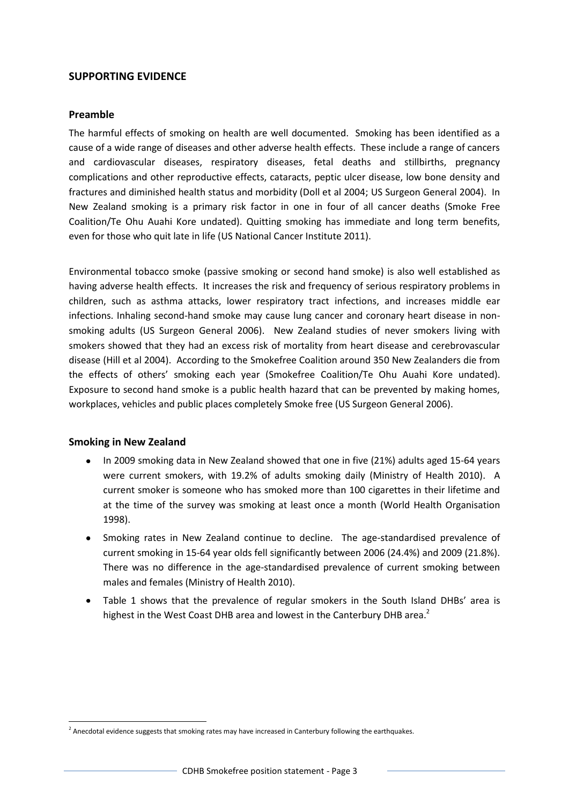### **SUPPORTING EVIDENCE**

#### **Preamble**

The harmful effects of smoking on health are well documented. Smoking has been identified as a cause of a wide range of diseases and other adverse health effects. These include a range of cancers and cardiovascular diseases, respiratory diseases, fetal deaths and stillbirths, pregnancy complications and other reproductive effects, cataracts, peptic ulcer disease, low bone density and fractures and diminished health status and morbidity (Doll et al 2004; US Surgeon General 2004). In New Zealand smoking is a primary risk factor in one in four of all cancer deaths (Smoke Free Coalition/Te Ohu Auahi Kore undated). Quitting smoking has immediate and long term benefits, even for those who quit late in life (US National Cancer Institute 2011).

Environmental tobacco smoke (passive smoking or second hand smoke) is also well established as having adverse health effects. It increases the risk and frequency of serious respiratory problems in children, such as asthma attacks, lower respiratory tract infections, and increases middle ear infections. Inhaling second-hand smoke may cause lung cancer and coronary heart disease in nonsmoking adults (US Surgeon General 2006). New Zealand studies of never smokers living with smokers showed that they had an excess risk of mortality from heart disease and cerebrovascular disease (Hill et al 2004). According to the Smokefree Coalition around 350 New Zealanders die from the effects of others' smoking each year (Smokefree Coalition/Te Ohu Auahi Kore undated). Exposure to second hand smoke is a public health hazard that can be prevented by making homes, workplaces, vehicles and public places completely Smoke free (US Surgeon General 2006).

#### **Smoking in New Zealand**

 $\overline{\phantom{a}}$ 

- In 2009 smoking data in New Zealand showed that one in five (21%) adults aged 15-64 years were current smokers, with 19.2% of adults smoking daily (Ministry of Health 2010). A current smoker is someone who has smoked more than 100 cigarettes in their lifetime and at the time of the survey was smoking at least once a month (World Health Organisation 1998).
- Smoking rates in New Zealand continue to decline. The age-standardised prevalence of current smoking in 15-64 year olds fell significantly between 2006 (24.4%) and 2009 (21.8%). There was no difference in the age-standardised prevalence of current smoking between males and females (Ministry of Health 2010).
- Table 1 shows that the prevalence of regular smokers in the South Island DHBs' area is highest in the West Coast DHB area and lowest in the Canterbury DHB area.<sup>2</sup>

<sup>&</sup>lt;sup>2</sup> Anecdotal evidence suggests that smoking rates may have increased in Canterbury following the earthquakes.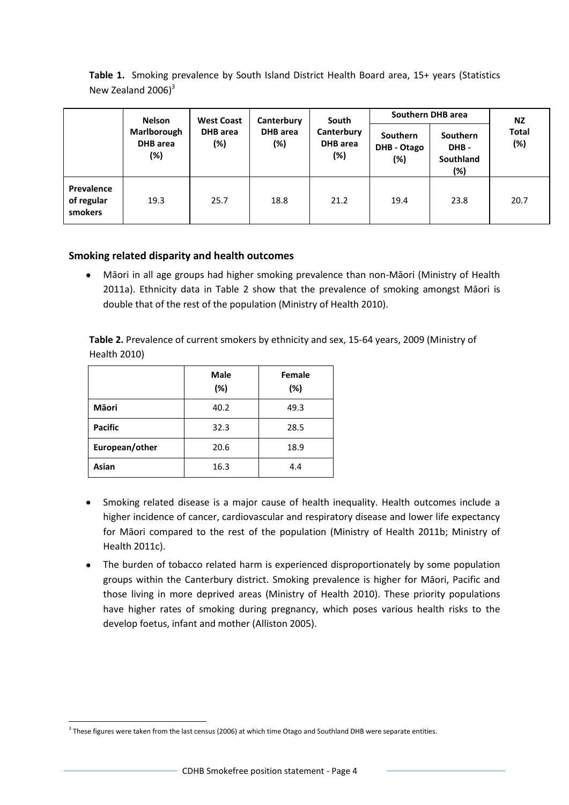| Table 1. Smoking prevalence by South Island District Health Board area, 15+ years (Statistics |  |
|-----------------------------------------------------------------------------------------------|--|
| New Zealand $2006$ <sup>3</sup>                                                               |  |

|                                     | <b>Nelson</b>                         | <b>West Coast</b>      |                 | Canterbury                           |                                              | South                                       | Southern DHB area   |  | <b>NZ</b> |
|-------------------------------------|---------------------------------------|------------------------|-----------------|--------------------------------------|----------------------------------------------|---------------------------------------------|---------------------|--|-----------|
|                                     | Marlborough<br><b>DHB</b> area<br>(%) | <b>DHB</b> area<br>(%) | DHB area<br>(%) | Canterbury<br><b>DHB</b> area<br>(%) | <b>Southern</b><br><b>DHB - Otago</b><br>(%) | <b>Southern</b><br>DHB-<br>Southland<br>(%) | <b>Total</b><br>(%) |  |           |
| Prevalence<br>of regular<br>smokers | 19.3                                  | 25.7                   | 18.8            | 21.2                                 | 19.4                                         | 23.8                                        | 20.7                |  |           |

### **Smoking related disparity and health outcomes**

Māori in all age groups had higher smoking prevalence than non-Māori (Ministry of Health  $\bullet$ 2011a). Ethnicity data in Table 2 show that the prevalence of smoking amongst Māori is double that of the rest of the population (Ministry of Health 2010).

**Table 2.** Prevalence of current smokers by ethnicity and sex, 15-64 years, 2009 (Ministry of Health 2010)

|                | <b>Male</b><br>(%) | Female<br>(%) |
|----------------|--------------------|---------------|
| <b>Mäori</b>   | 40.2               | 49.3          |
| <b>Pacific</b> | 32.3               | 28.5          |
| European/other | 20.6               | 18.9          |
| Asian          | 16.3               | 4.4           |

- Smoking related disease is a major cause of health inequality. Health outcomes include a higher incidence of cancer, cardiovascular and respiratory disease and lower life expectancy for Māori compared to the rest of the population (Ministry of Health 2011b; Ministry of Health 2011c).
- The burden of tobacco related harm is experienced disproportionately by some population groups within the Canterbury district. Smoking prevalence is higher for Māori, Pacific and those living in more deprived areas (Ministry of Health 2010). These priority populations have higher rates of smoking during pregnancy, which poses various health risks to the develop foetus, infant and mother (Alliston 2005).

 $\overline{\phantom{a}}$  $3$  These figures were taken from the last census (2006) at which time Otago and Southland DHB were separate entities.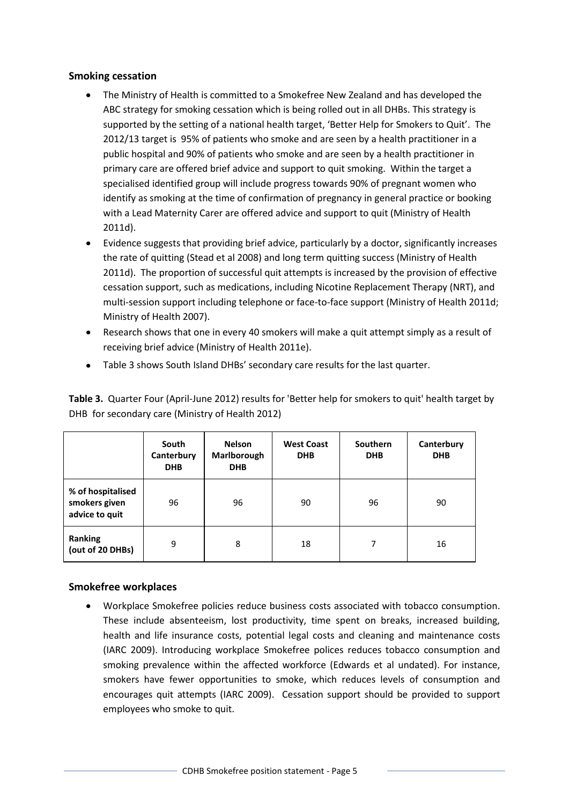### **Smoking cessation**

- The Ministry of Health is committed to a Smokefree New Zealand and has developed the ABC strategy for smoking cessation which is being rolled out in all DHBs. This strategy is supported by the setting of a national health target, 'Better Help for Smokers to Quit'. The 2012/13 target is 95% of patients who smoke and are seen by a health practitioner in a public hospital and 90% of patients who smoke and are seen by a health practitioner in primary care are offered brief advice and support to quit smoking. Within the target a specialised identified group will include progress towards 90% of pregnant women who identify as smoking at the time of confirmation of pregnancy in general practice or booking with a Lead Maternity Carer are offered advice and support to quit (Ministry of Health 2011d).
- Evidence suggests that providing brief advice, particularly by a doctor, significantly increases the rate of quitting (Stead et al 2008) and long term quitting success (Ministry of Health 2011d). The proportion of successful quit attempts is increased by the provision of effective cessation support, such as medications, including Nicotine Replacement Therapy (NRT), and multi-session support including telephone or face-to-face support (Ministry of Health 2011d; Ministry of Health 2007).
- Research shows that one in every 40 smokers will make a quit attempt simply as a result of receiving brief advice (Ministry of Health 2011e).
- Table 3 shows South Island DHBs' secondary care results for the last quarter.

**Table 3.** Quarter Four (April-June 2012) results for 'Better help for smokers to quit' health target by DHB for secondary care (Ministry of Health 2012)

|                                                      | South<br>Canterbury<br><b>DHB</b> | <b>Nelson</b><br>Marlborough<br><b>DHB</b> | <b>West Coast</b><br><b>DHB</b> | Southern<br><b>DHB</b> | Canterbury<br><b>DHB</b> |
|------------------------------------------------------|-----------------------------------|--------------------------------------------|---------------------------------|------------------------|--------------------------|
| % of hospitalised<br>smokers given<br>advice to quit | 96                                | 96                                         | 90                              | 96                     | 90                       |
| <b>Ranking</b><br>(out of 20 DHBs)                   | 9                                 | 8                                          | 18                              | 7                      | 16                       |

# **Smokefree workplaces**

Workplace Smokefree policies reduce business costs associated with tobacco consumption. These include absenteeism, lost productivity, time spent on breaks, increased building, health and life insurance costs, potential legal costs and cleaning and maintenance costs (IARC 2009). Introducing workplace Smokefree polices reduces tobacco consumption and smoking prevalence within the affected workforce (Edwards et al undated). For instance, smokers have fewer opportunities to smoke, which reduces levels of consumption and encourages quit attempts (IARC 2009). Cessation support should be provided to support employees who smoke to quit.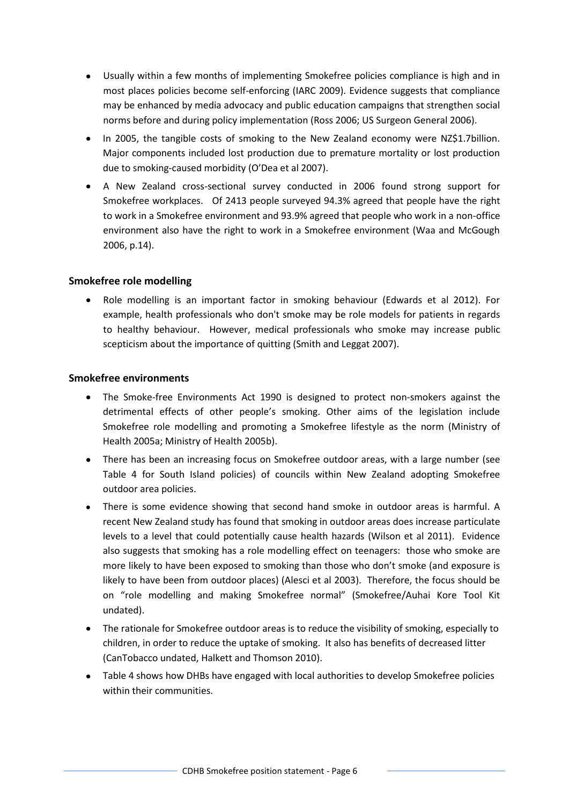- Usually within a few months of implementing Smokefree policies compliance is high and in most places policies become self-enforcing (IARC 2009). Evidence suggests that compliance may be enhanced by media advocacy and public education campaigns that strengthen social norms before and during policy implementation (Ross 2006; US Surgeon General 2006).
- In 2005, the tangible costs of smoking to the New Zealand economy were NZ\$1.7billion. Major components included lost production due to premature mortality or lost production due to smoking-caused morbidity (O'Dea et al 2007).
- A New Zealand cross-sectional survey conducted in 2006 found strong support for Smokefree workplaces. Of 2413 people surveyed 94.3% agreed that people have the right to work in a Smokefree environment and 93.9% agreed that people who work in a non-office environment also have the right to work in a Smokefree environment (Waa and McGough 2006, p.14).

### **Smokefree role modelling**

Role modelling is an important factor in smoking behaviour (Edwards et al 2012). For example, health professionals who don't smoke may be role models for patients in regards to healthy behaviour. However, medical professionals who smoke may increase public scepticism about the importance of quitting (Smith and Leggat 2007).

#### **Smokefree environments**

- The Smoke-free Environments Act 1990 is designed to protect non-smokers against the detrimental effects of other people's smoking. Other aims of the legislation include Smokefree role modelling and promoting a Smokefree lifestyle as the norm (Ministry of Health 2005a; Ministry of Health 2005b).
- There has been an increasing focus on Smokefree outdoor areas, with a large number (see Table 4 for South Island policies) of councils within New Zealand adopting Smokefree outdoor area policies.
- There is some evidence showing that second hand smoke in outdoor areas is harmful. A recent New Zealand study has found that smoking in outdoor areas does increase particulate levels to a level that could potentially cause health hazards (Wilson et al 2011). Evidence also suggests that smoking has a role modelling effect on teenagers: those who smoke are more likely to have been exposed to smoking than those who don't smoke (and exposure is likely to have been from outdoor places) (Alesci et al 2003). Therefore, the focus should be on "role modelling and making Smokefree normal" (Smokefree/Auhai Kore Tool Kit undated).
- The rationale for Smokefree outdoor areas is to reduce the visibility of smoking, especially to children, in order to reduce the uptake of smoking. It also has benefits of decreased litter (CanTobacco undated, Halkett and Thomson 2010).
- Table 4 shows how DHBs have engaged with local authorities to develop Smokefree policies within their communities.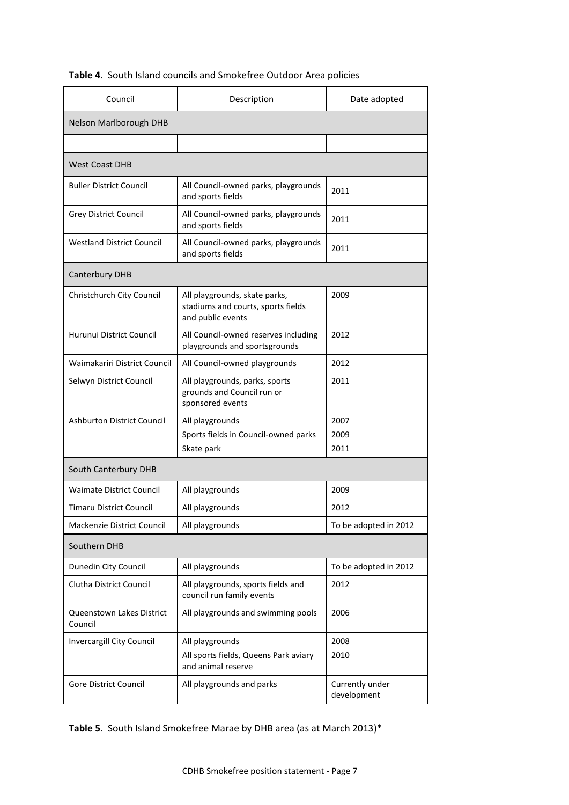# **Table 4**. South Island councils and Smokefree Outdoor Area policies

| Council                              | Description                                                                              | Date adopted                   |  |  |
|--------------------------------------|------------------------------------------------------------------------------------------|--------------------------------|--|--|
| Nelson Marlborough DHB               |                                                                                          |                                |  |  |
|                                      |                                                                                          |                                |  |  |
| <b>West Coast DHB</b>                |                                                                                          |                                |  |  |
| Buller District Council              | All Council-owned parks, playgrounds<br>and sports fields                                | 2011                           |  |  |
| Grey District Council                | All Council-owned parks, playgrounds<br>and sports fields                                | 2011                           |  |  |
| <b>Westland District Council</b>     | All Council-owned parks, playgrounds<br>and sports fields                                | 2011                           |  |  |
| Canterbury DHB                       |                                                                                          |                                |  |  |
| Christchurch City Council            | All playgrounds, skate parks,<br>stadiums and courts, sports fields<br>and public events | 2009                           |  |  |
| Hurunui District Council             | All Council-owned reserves including<br>playgrounds and sportsgrounds                    | 2012                           |  |  |
| Waimakariri District Council         | All Council-owned playgrounds                                                            | 2012                           |  |  |
| Selwyn District Council              | All playgrounds, parks, sports<br>grounds and Council run or<br>sponsored events         | 2011                           |  |  |
| <b>Ashburton District Council</b>    | All playgrounds<br>Sports fields in Council-owned parks<br>Skate park                    | 2007<br>2009<br>2011           |  |  |
| South Canterbury DHB                 |                                                                                          |                                |  |  |
| <b>Waimate District Council</b>      | All playgrounds                                                                          | 2009                           |  |  |
| Timaru District Council              | All playgrounds                                                                          | 2012                           |  |  |
| Mackenzie District Council           | All playgrounds                                                                          | To be adopted in 2012          |  |  |
| Southern DHB                         |                                                                                          |                                |  |  |
| Dunedin City Council                 | All playgrounds                                                                          | To be adopted in 2012          |  |  |
| Clutha District Council              | All playgrounds, sports fields and<br>council run family events                          | 2012                           |  |  |
| Queenstown Lakes District<br>Council | All playgrounds and swimming pools                                                       | 2006                           |  |  |
| Invercargill City Council            | All playgrounds<br>All sports fields, Queens Park aviary<br>and animal reserve           | 2008<br>2010                   |  |  |
| Gore District Council                | All playgrounds and parks                                                                | Currently under<br>development |  |  |

**Table 5**. South Island Smokefree Marae by DHB area (as at March 2013)\*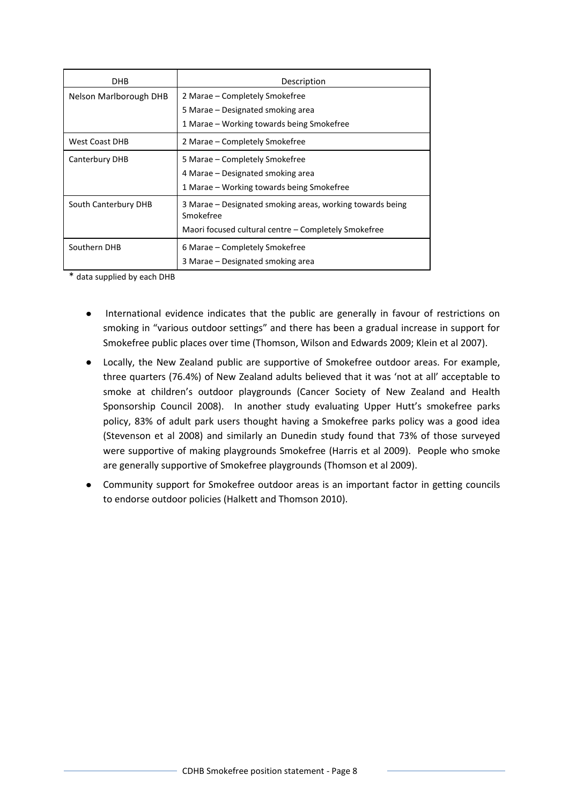| DHB                    | Description                                                            |  |  |
|------------------------|------------------------------------------------------------------------|--|--|
| Nelson Marlborough DHB | 2 Marae – Completely Smokefree                                         |  |  |
|                        | 5 Marae – Designated smoking area                                      |  |  |
|                        | 1 Marae – Working towards being Smokefree                              |  |  |
| <b>West Coast DHB</b>  | 2 Marae – Completely Smokefree                                         |  |  |
| Canterbury DHB         | 5 Marae – Completely Smokefree                                         |  |  |
|                        | 4 Marae – Designated smoking area                                      |  |  |
|                        | 1 Marae – Working towards being Smokefree                              |  |  |
| South Canterbury DHB   | 3 Marae – Designated smoking areas, working towards being<br>Smokefree |  |  |
|                        | Maori focused cultural centre – Completely Smokefree                   |  |  |
| Southern DHB           | 6 Marae – Completely Smokefree                                         |  |  |
|                        | 3 Marae – Designated smoking area                                      |  |  |

\* data supplied by each DHB

- International evidence indicates that the public are generally in favour of restrictions on  $\bullet$ smoking in "various outdoor settings" and there has been a gradual increase in support for Smokefree public places over time (Thomson, Wilson and Edwards 2009; Klein et al 2007).
- $\bullet$ Locally, the New Zealand public are supportive of Smokefree outdoor areas. For example, three quarters (76.4%) of New Zealand adults believed that it was 'not at all' acceptable to smoke at children's outdoor playgrounds (Cancer Society of New Zealand and Health Sponsorship Council 2008). In another study evaluating Upper Hutt's smokefree parks policy, 83% of adult park users thought having a Smokefree parks policy was a good idea (Stevenson et al 2008) and similarly an Dunedin study found that 73% of those surveyed were supportive of making playgrounds Smokefree (Harris et al 2009). People who smoke are generally supportive of Smokefree playgrounds (Thomson et al 2009).
- Community support for Smokefree outdoor areas is an important factor in getting councils to endorse outdoor policies (Halkett and Thomson 2010).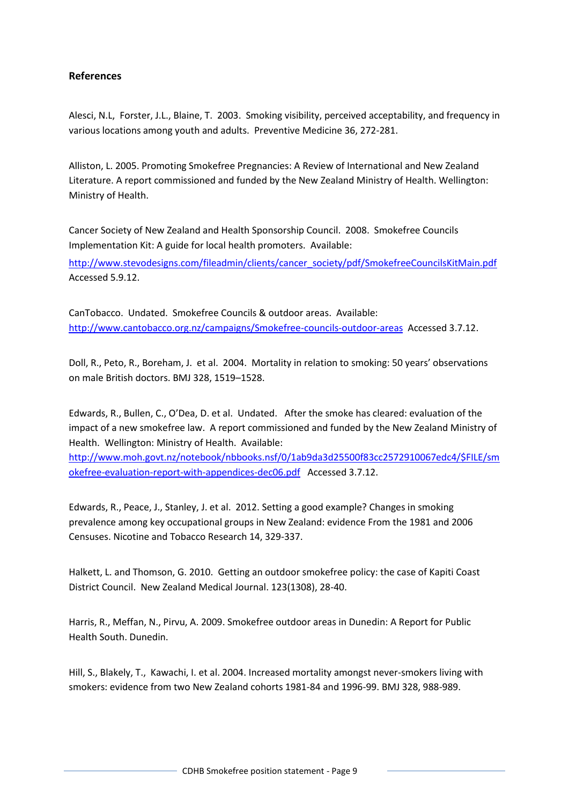## **References**

Alesci, N.L, Forster, J.L., Blaine, T. 2003. Smoking visibility, perceived acceptability, and frequency in various locations among youth and adults. Preventive Medicine 36, 272-281.

Alliston, L. 2005. Promoting Smokefree Pregnancies: A Review of International and New Zealand Literature. A report commissioned and funded by the New Zealand Ministry of Health. Wellington: Ministry of Health.

Cancer Society of New Zealand and Health Sponsorship Council. 2008. Smokefree Councils Implementation Kit: A guide for local health promoters. Available:

[http://www.stevodesigns.com/fileadmin/clients/cancer\\_society/pdf/SmokefreeCouncilsKitMain.pdf](http://www.stevodesigns.com/fileadmin/clients/cancer_society/pdf/SmokefreeCouncilsKitMain.pdf)  Accessed 5.9.12.

CanTobacco. Undated. Smokefree Councils & outdoor areas. Available: [http://www.cantobacco.org.nz/campaigns/Smokefree-councils-outdoor-areas](http://www.cantobacco.org.nz/campaigns/smokefree-councils-outdoor-areas) Accessed 3.7.12.

Doll, R., Peto, R., Boreham, J. et al. 2004. Mortality in relation to smoking: 50 years' observations on male British doctors. BMJ 328, 1519–1528.

Edwards, R., Bullen, C., O'Dea, D. et al. Undated. After the smoke has cleared: evaluation of the impact of a new smokefree law. A report commissioned and funded by the New Zealand Ministry of Health. Wellington: Ministry of Health. Available:

[http://www.moh.govt.nz/notebook/nbbooks.nsf/0/1ab9da3d25500f83cc2572910067edc4/\\$FILE/sm](http://www.moh.govt.nz/notebook/nbbooks.nsf/0/1ab9da3d25500f83cc2572910067edc4/$FILE/smokefree-evaluation-report-with-appendices-dec06.pdf) [okefree-evaluation-report-with-appendices-dec06.pdf](http://www.moh.govt.nz/notebook/nbbooks.nsf/0/1ab9da3d25500f83cc2572910067edc4/$FILE/smokefree-evaluation-report-with-appendices-dec06.pdf) Accessed 3.7.12.

Edwards, R., Peace, J., Stanley, J. et al. 2012. Setting a good example? Changes in smoking prevalence among key occupational groups in New Zealand: evidence From the 1981 and 2006 Censuses. Nicotine and Tobacco Research 14, 329-337.

Halkett, L. and Thomson, G. 2010. Getting an outdoor smokefree policy: the case of Kapiti Coast District Council. New Zealand Medical Journal. 123(1308), 28-40.

Harris, R., Meffan, N., Pirvu, A. 2009. Smokefree outdoor areas in Dunedin: A Report for Public Health South. Dunedin.

Hill, S., Blakely, T., Kawachi, I. et al. 2004. Increased mortality amongst never-smokers living with smokers: evidence from two New Zealand cohorts 1981-84 and 1996-99. BMJ 328, 988-989.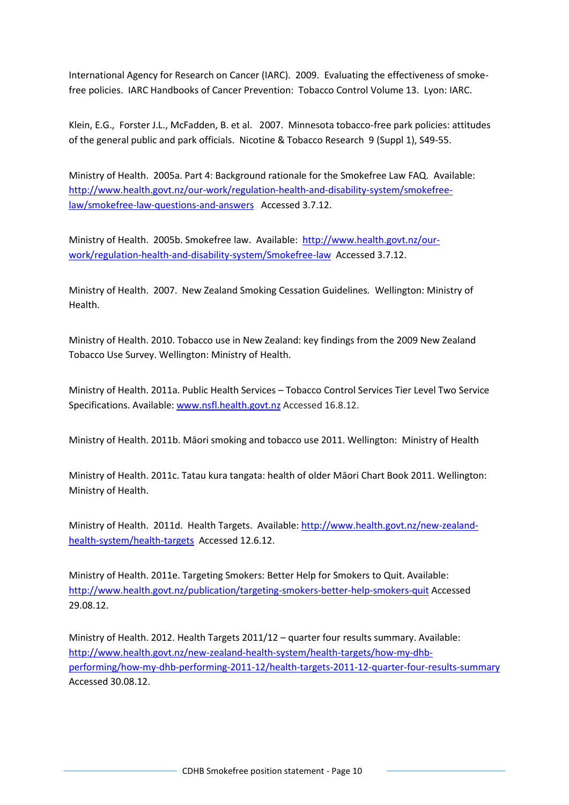International Agency for Research on Cancer (IARC). 2009. Evaluating the effectiveness of smokefree policies. IARC Handbooks of Cancer Prevention: Tobacco Control Volume 13. Lyon: IARC.

Klein, E.G., Forster J.L., McFadden, B. et al. 2007. Minnesota tobacco-free park policies: attitudes of the general public and park officials. Nicotine & Tobacco Research 9 (Suppl 1), S49-55.

Ministry of Health. 2005a. Part 4: Background rationale for the Smokefree Law FAQ. Available: [http://www.health.govt.nz/our-work/regulation-health-and-disability-system/smokefree](http://www.health.govt.nz/our-work/regulation-health-and-disability-system/smokefree-law/smokefree-law-questions-and-answers)[law/smokefree-law-questions-and-answers](http://www.health.govt.nz/our-work/regulation-health-and-disability-system/smokefree-law/smokefree-law-questions-and-answers) Accessed 3.7.12.

Ministry of Health. 2005b. Smokefree law. Available: [http://www.health.govt.nz/our](http://www.health.govt.nz/our-work/regulation-health-and-disability-system/smokefree-law)[work/regulation-health-and-disability-system/Smokefree-law](http://www.health.govt.nz/our-work/regulation-health-and-disability-system/smokefree-law) Accessed 3.7.12.

Ministry of Health. 2007. New Zealand Smoking Cessation Guidelines*.* Wellington: Ministry of Health.

Ministry of Health. 2010. Tobacco use in New Zealand: key findings from the 2009 New Zealand Tobacco Use Survey. Wellington: Ministry of Health.

Ministry of Health. 2011a. Public Health Services – Tobacco Control Services Tier Level Two Service Specifications. Available: [www.nsfl.health.govt.nz](http://www.nsfl.health.govt.nz/) Accessed 16.8.12.

Ministry of Health. 2011b. Māori smoking and tobacco use 2011. Wellington: Ministry of Health

Ministry of Health. 2011c. Tatau kura tangata: health of older Māori Chart Book 2011. Wellington: Ministry of Health.

Ministry of Health. 2011d. Health Targets. Available: [http://www.health.govt.nz/new-zealand](http://www.health.govt.nz/new-zealand-health-system/health-targets)[health-system/health-targets](http://www.health.govt.nz/new-zealand-health-system/health-targets) Accessed 12.6.12.

Ministry of Health. 2011e. Targeting Smokers: Better Help for Smokers to Quit. Available: <http://www.health.govt.nz/publication/targeting-smokers-better-help-smokers-quit> Accessed 29.08.12.

Ministry of Health. 2012. Health Targets 2011/12 – quarter four results summary. Available: [http://www.health.govt.nz/new-zealand-health-system/health-targets/how-my-dhb](http://www.health.govt.nz/new-zealand-health-system/health-targets/how-my-dhb-performing/how-my-dhb-performing-2011-12/health-targets-2011-12-quarter-four-results-summary)[performing/how-my-dhb-performing-2011-12/health-targets-2011-12-quarter-four-results-summary](http://www.health.govt.nz/new-zealand-health-system/health-targets/how-my-dhb-performing/how-my-dhb-performing-2011-12/health-targets-2011-12-quarter-four-results-summary) Accessed 30.08.12.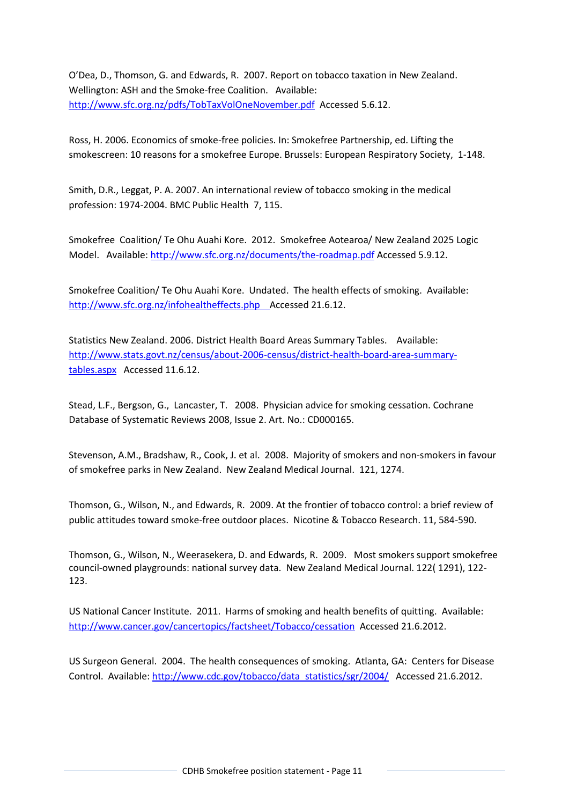O'Dea, D., Thomson, G. and Edwards, R. 2007. Report on tobacco taxation in New Zealand. Wellington: ASH and the Smoke-free Coalition. Available: <http://www.sfc.org.nz/pdfs/TobTaxVolOneNovember.pdf> Accessed 5.6.12.

Ross, H. 2006. Economics of smoke-free policies. In: Smokefree Partnership, ed. Lifting the smokescreen: 10 reasons for a smokefree Europe. Brussels: European Respiratory Society, 1-148.

Smith, D.R., Leggat, P. A. 2007. An international review of tobacco smoking in the medical profession: 1974-2004. BMC Public Health 7, 115.

Smokefree Coalition/ Te Ohu Auahi Kore. 2012. Smokefree Aotearoa/ New Zealand 2025 Logic Model.Available[: http://www.sfc.org.nz/documents/the-roadmap.pdf](http://www.sfc.org.nz/documents/the-roadmap.pdf) Accessed 5.9.12.

Smokefree Coalition/ Te Ohu Auahi Kore. Undated. The health effects of smoking. Available: [http://www.sfc.org.nz/infohealtheffects.php A](http://www.sfc.org.nz/infohealtheffects.php)ccessed 21.6.12.

Statistics New Zealand. 2006. District Health Board Areas Summary Tables. Available: [http://www.stats.govt.nz/census/about-2006-census/district-health-board-area-summary](http://www.stats.govt.nz/census/about-2006-census/district-health-board-area-summary-tables.aspx)[tables.aspx](http://www.stats.govt.nz/census/about-2006-census/district-health-board-area-summary-tables.aspx) Accessed 11.6.12.

Stead, L.F., Bergson, G., Lancaster, T. 2008. Physician advice for smoking cessation. Cochrane Database of Systematic Reviews 2008, Issue 2. Art. No.: CD000165.

Stevenson, A.M., Bradshaw, R., Cook, J. et al. 2008. Majority of smokers and non-smokers in favour of smokefree parks in New Zealand. New Zealand Medical Journal. 121, 1274.

Thomson, G., Wilson, N., and Edwards, R. 2009. At the frontier of tobacco control: a brief review of public attitudes toward smoke-free outdoor places. Nicotine & Tobacco Research. 11, 584-590.

Thomson, G., Wilson, N., Weerasekera, D. and Edwards, R. 2009. Most smokers support smokefree council-owned playgrounds: national survey data. New Zealand Medical Journal. 122( 1291), 122- 123.

US National Cancer Institute. 2011. Harms of smoking and health benefits of quitting. Available: <http://www.cancer.gov/cancertopics/factsheet/Tobacco/cessation>Accessed 21.6.2012.

US Surgeon General. 2004. The health consequences of smoking. Atlanta, GA: Centers for Disease Control. Available: [http://www.cdc.gov/tobacco/data\\_statistics/sgr/2004/](http://www.cdc.gov/tobacco/data_statistics/sgr/2004/) Accessed 21.6.2012.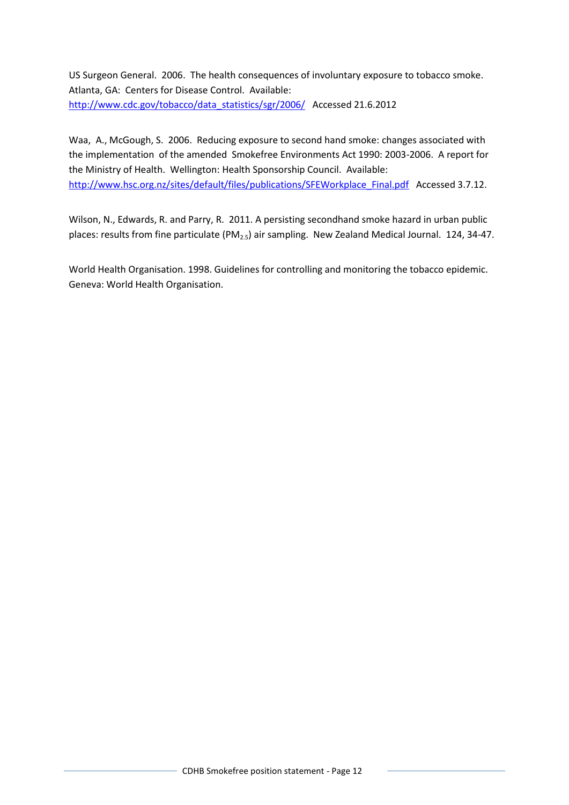US Surgeon General. 2006. The health consequences of involuntary exposure to tobacco smoke. Atlanta, GA: Centers for Disease Control. Available: [http://www.cdc.gov/tobacco/data\\_statistics/sgr/2006/](http://www.cdc.gov/tobacco/data_statistics/sgr/2006/) Accessed 21.6.2012

Waa, A., McGough, S. 2006. Reducing exposure to second hand smoke: changes associated with the implementation of the amended Smokefree Environments Act 1990: 2003-2006. A report for the Ministry of Health. Wellington: Health Sponsorship Council. Available: [http://www.hsc.org.nz/sites/default/files/publications/SFEWorkplace\\_Final.pdf](http://www.hsc.org.nz/sites/default/files/publications/SFEWorkplace_Final.pdf) Accessed 3.7.12.

Wilson, N., Edwards, R. and Parry, R. 2011. A persisting secondhand smoke hazard in urban public places: results from fine particulate (PM<sub>2.5</sub>) air sampling. New Zealand Medical Journal. 124, 34-47.

World Health Organisation. 1998. Guidelines for controlling and monitoring the tobacco epidemic. Geneva: World Health Organisation.